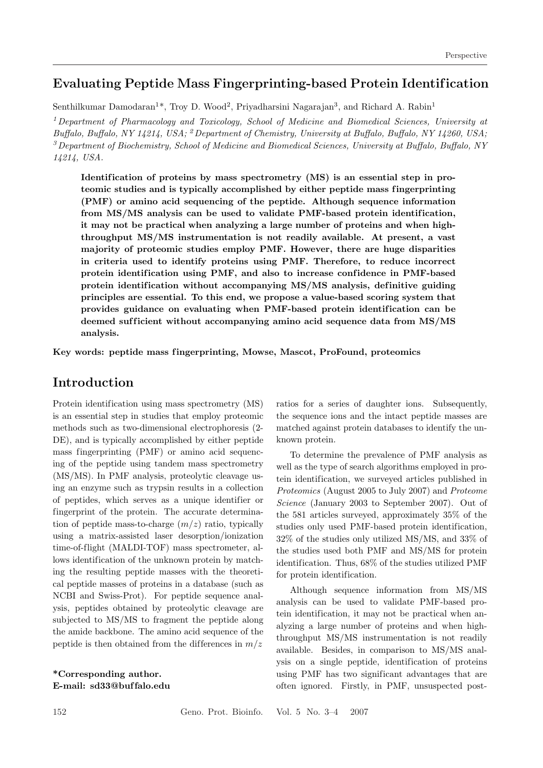#### **Evaluating Peptide Mass Fingerprinting-based Protein Identif ication**

Senthilkumar Damodaran<sup>1\*</sup>, Troy D. Wood<sup>2</sup>, Priyadharsini Nagarajan<sup>3</sup>, and Richard A. Rabin<sup>1</sup>

<sup>1</sup>*Department of Pharmacology and Toxicology, School of Medicine and Biomedical Sciences, University at Buffalo, Buffalo, NY 14214, USA;* <sup>2</sup>*Department of Chemistry, University at Buffalo, Buffalo, NY 14260, USA;* <sup>3</sup>*Department of Biochemistry, School of Medicine and Biomedical Sciences, University at Buffalo, Buffalo, NY 14214, USA.*

**Identification of proteins by mass spectrometry (MS) is an essential step in proteomic studies and is typically accomplished by either peptide mass f ingerprinting (PMF) or amino acid sequencing of the peptide. Although sequence information** from MS/MS analysis can be used to validate PMF-based protein identification, **it may not be practical when analyzing a large number of proteins and when highthroughput MS/MS instrumentation is not readily available. At present, a vast majority of proteomic studies employ PMF. However, there are huge disparities in criteria used to identify proteins using PMF. Therefore, to reduce incorrect** protein identification using PMF, and also to increase confidence in PMF-based protein identification without accompanying MS/MS analysis, definitive guiding **principles are essential. To this end, we propose a value-based scoring system that provides guidance on evaluating when PMF-based protein identif ication can be** deemed sufficient without accompanying amino acid sequence data from  $\overline{\text{MS}}/\overline{\text{MS}}$ **analysis.**

**Key words: peptide mass f ingerprinting, Mowse, Mascot, ProFound, proteomics**

#### **Introduction**

Protein identification using mass spectrometry (MS) is an essential step in studies that employ proteomic methods such as two-dimensional electrophoresis (2- DE), and is typically accomplished by either peptide mass fingerprinting (PMF) or amino acid sequencing of the peptide using tandem mass spectrometry (MS/MS). In PMF analysis, proteolytic cleavage using an enzyme such as trypsin results in a collection of peptides, which serves as a unique identifier or fingerprint of the protein. The accurate determination of peptide mass-to-charge  $(m/z)$  ratio, typically using a matrix-assisted laser desorption/ionization time-of-flight (MALDI-TOF) mass spectrometer, allows identification of the unknown protein by matching the resulting peptide masses with the theoretical peptide masses of proteins in a database (such as NCBI and Swiss-Prot). For peptide sequence analysis, peptides obtained by proteolytic cleavage are subjected to MS/MS to fragment the peptide along the amide backbone. The amino acid sequence of the peptide is then obtained from the differences in  $m/z$ 

**\*Corresponding author. E-mail: sd33@buf falo.edu** ratios for a series of daughter ions. Subsequently, the sequence ions and the intact peptide masses are matched against protein databases to identify the unknown protein.

To determine the prevalence of PMF analysis as well as the type of search algorithms employed in protein identification, we surveyed articles published in *Proteomics* (August 2005 to July 2007) and *Proteome Science* (January 2003 to September 2007). Out of the 581 articles surveyed, approximately 35% of the studies only used PMF-based protein identification, 32% of the studies only utilized MS/MS, and 33% of the studies used both PMF and MS/MS for protein identification. Thus, 68% of the studies utilized PMF for protein identification.

Although sequence information from MS/MS analysis can be used to validate PMF-based protein identification, it may not be practical when analyzing a large number of proteins and when highthroughput MS/MS instrumentation is not readily available. Besides, in comparison to MS/MS analysis on a single peptide, identification of proteins using PMF has two significant advantages that are often ignored. Firstly, in PMF, unsuspected post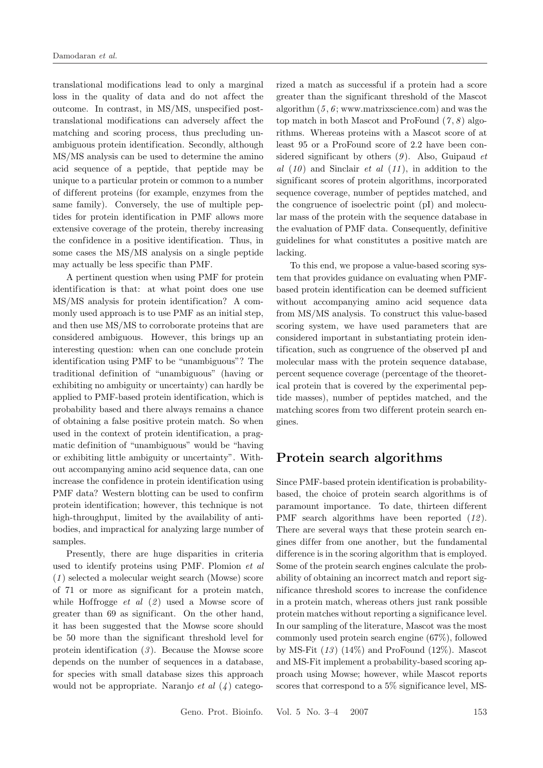translational modifications lead to only a marginal loss in the quality of data and do not affect the outcome. In contrast, in MS/MS, unspecified posttranslational modifications can adversely af fect the matching and scoring process, thus precluding unambiguous protein identification. Secondly, although MS/MS analysis can be used to determine the amino acid sequence of a peptide, that peptide may be unique to a particular protein or common to a number of dif ferent proteins (for example, enzymes from the same family). Conversely, the use of multiple peptides for protein identification in PMF allows more extensive coverage of the protein, thereby increasing the confidence in a positive identification. Thus, in some cases the MS/MS analysis on a single peptide may actually be less specific than PMF.

A pertinent question when using PMF for protein identification is that: at what point does one use MS/MS analysis for protein identification? A commonly used approach is to use PMF as an initial step, and then use MS/MS to corroborate proteins that are considered ambiguous. However, this brings up an interesting question: when can one conclude protein identification using PMF to be "unambiguous"? The traditional definition of "unambiguous" (having or exhibiting no ambiguity or uncertainty) can hardly be applied to PMF-based protein identification, which is probability based and there always remains a chance of obtaining a false positive protein match. So when used in the context of protein identification, a pragmatic definition of "unambiguous" would be "having or exhibiting little ambiguity or uncertainty". Without accompanying amino acid sequence data, can one increase the confidence in protein identification using PMF data? Western blotting can be used to confirm protein identification; however, this technique is not high-throughput, limited by the availability of antibodies, and impractical for analyzing large number of samples.

Presently, there are huge disparities in criteria used to identify proteins using PMF. Plomion *et al* (*1* ) selected a molecular weight search (Mowse) score of 71 or more as significant for a protein match, while Hoffrogge *et al*  $(2)$  used a Mowse score of greater than 69 as significant. On the other hand, it has been suggested that the Mowse score should be 50 more than the significant threshold level for protein identification (*3* ). Because the Mowse score depends on the number of sequences in a database, for species with small database sizes this approach would not be appropriate. Naranjo *et al* (*4* ) categorized a match as successful if a protein had a score greater than the significant threshold of the Mascot algorithm  $(5, 6;$  www.matrixscience.com) and was the top match in both Mascot and ProFound (*7* , *8* ) algorithms. Whereas proteins with a Mascot score of at least 95 or a ProFound score of 2.2 have been considered significant by others (*9* ). Also, Guipaud *et al* (*10* ) and Sinclair *et al* (*11* ), in addition to the significant scores of protein algorithms, incorporated sequence coverage, number of peptides matched, and the congruence of isoelectric point (pI) and molecular mass of the protein with the sequence database in the evaluation of PMF data. Consequently, definitive guidelines for what constitutes a positive match are lacking.

To this end, we propose a value-based scoring system that provides guidance on evaluating when PMFbased protein identification can be deemed sufficient without accompanying amino acid sequence data from MS/MS analysis. To construct this value-based scoring system, we have used parameters that are considered important in substantiating protein identification, such as congruence of the observed pI and molecular mass with the protein sequence database, percent sequence coverage (percentage of the theoretical protein that is covered by the experimental peptide masses), number of peptides matched, and the matching scores from two different protein search engines.

## **Protein search algorithms**

Since PMF-based protein identification is probabilitybased, the choice of protein search algorithms is of paramount importance. To date, thirteen different PMF search algorithms have been reported  $(12)$ . There are several ways that these protein search engines differ from one another, but the fundamental difference is in the scoring algorithm that is employed. Some of the protein search engines calculate the probability of obtaining an incorrect match and report significance threshold scores to increase the confidence in a protein match, whereas others just rank possible protein matches without reporting a significance level. In our sampling of the literature, Mascot was the most commonly used protein search engine (67%), followed by MS-Fit (*13* ) (14%) and ProFound (12%). Mascot and MS-Fit implement a probability-based scoring approach using Mowse; however, while Mascot reports scores that correspond to a 5% significance level, MS-

Geno. Prot. Bioinfo. Vol. 5 No. 3–4 2007 153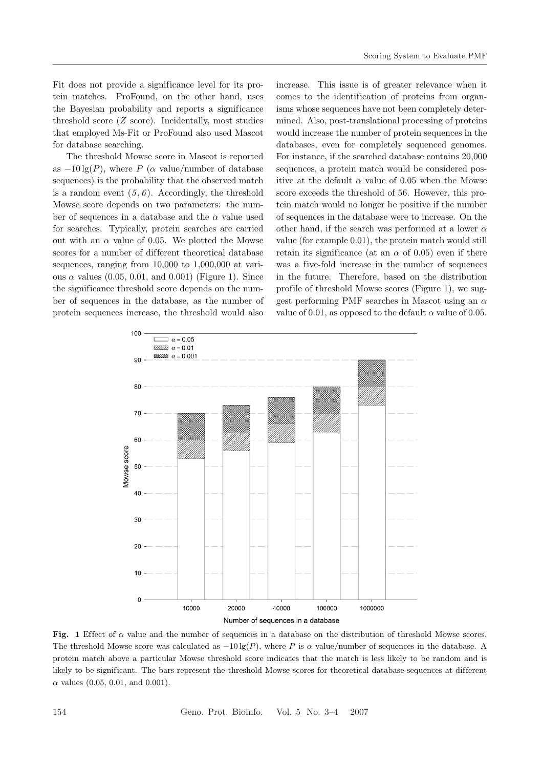Fit does not provide a significance level for its protein matches. ProFound, on the other hand, uses the Bayesian probability and reports a significance threshold score  $(Z \text{ score})$ . Incidentally, most studies that employed Ms-Fit or ProFound also used Mascot for database searching.

The threshold Mowse score in Mascot is reported as  $-10 \lg(P)$ , where P ( $\alpha$  value/number of database sequences) is the probability that the observed match is a random event  $(5, 6)$ . Accordingly, the threshold Mowse score depends on two parameters: the number of sequences in a database and the  $\alpha$  value used for searches. Typically, protein searches are carried out with an  $\alpha$  value of 0.05. We plotted the Mowse scores for a number of different theoretical database sequences, ranging from 10,000 to 1,000,000 at various  $\alpha$  values (0.05, 0.01, and 0.001) (Figure 1). Since the significance threshold score depends on the number of sequences in the database, as the number of protein sequences increase, the threshold would also

increase. This issue is of greater relevance when it comes to the identification of proteins from organisms whose sequences have not been completely determined. Also, post-translational processing of proteins would increase the number of protein sequences in the databases, even for completely sequenced genomes. For instance, if the searched database contains 20,000 sequences, a protein match would be considered positive at the default  $\alpha$  value of 0.05 when the Mowse score exceeds the threshold of 56. However, this protein match would no longer be positive if the number of sequences in the database were to increase. On the other hand, if the search was performed at a lower  $\alpha$ value (for example 0.01), the protein match would still retain its significance (at an  $\alpha$  of 0.05) even if there was a five-fold increase in the number of sequences in the future. Therefore, based on the distribution profile of threshold Mowse scores (Figure 1), we suggest performing PMF searches in Mascot using an  $\alpha$ value of 0.01, as opposed to the default  $\alpha$  value of 0.05.



**Fig. 1** Effect of  $\alpha$  value and the number of sequences in a database on the distribution of threshold Mowse scores. The threshold Mowse score was calculated as  $-10 \lg(P)$ , where P is  $\alpha$  value/number of sequences in the database. A protein match above a particular Mowse threshold score indicates that the match is less likely to be random and is likely to be significant. The bars represent the threshold Mowse scores for theoretical database sequences at different  $\alpha$  values (0.05, 0.01, and 0.001).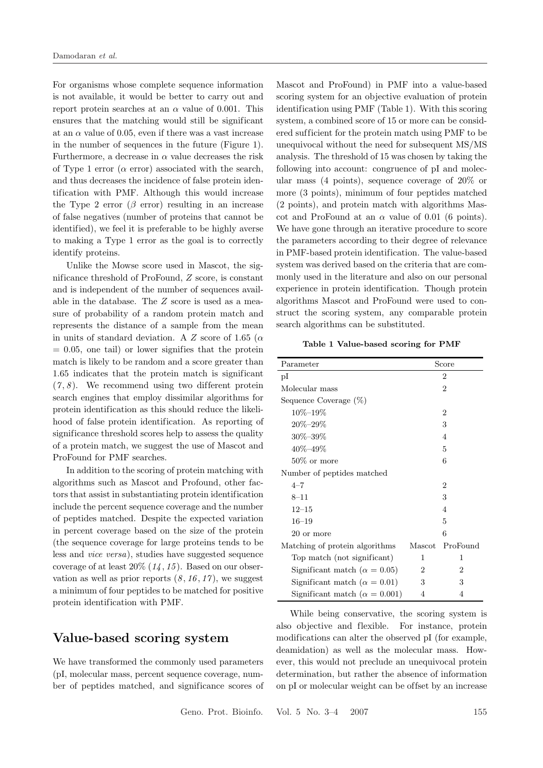For organisms whose complete sequence information is not available, it would be better to carry out and report protein searches at an  $\alpha$  value of 0.001. This ensures that the matching would still be significant at an  $\alpha$  value of 0.05, even if there was a vast increase in the number of sequences in the future (Figure 1). Furthermore, a decrease in  $\alpha$  value decreases the risk of Type 1 error ( $\alpha$  error) associated with the search, and thus decreases the incidence of false protein identification with PMF. Although this would increase the Type 2 error  $(\beta$  error) resulting in an increase of false negatives (number of proteins that cannot be identified), we feel it is preferable to be highly averse to making a Type 1 error as the goal is to correctly identify proteins.

Unlike the Mowse score used in Mascot, the significance threshold of ProFound, Z score, is constant and is independent of the number of sequences available in the database. The Z score is used as a measure of probability of a random protein match and represents the distance of a sample from the mean in units of standard deviation. A Z score of 1.65 ( $\alpha$  $= 0.05$ , one tail) or lower signifies that the protein match is likely to be random and a score greater than 1.65 indicates that the protein match is significant  $(7, 8)$ . We recommend using two different protein search engines that employ dissimilar algorithms for protein identification as this should reduce the likelihood of false protein identification. As reporting of significance threshold scores help to assess the quality of a protein match, we suggest the use of Mascot and ProFound for PMF searches.

In addition to the scoring of protein matching with algorithms such as Mascot and Profound, other factors that assist in substantiating protein identification include the percent sequence coverage and the number of peptides matched. Despite the expected variation in percent coverage based on the size of the protein (the sequence coverage for large proteins tends to be less and *vice versa*), studies have suggested sequence coverage of at least 20% (*14* , *15* ). Based on our observation as well as prior reports  $(8, 16, 17)$ , we suggest a minimum of four peptides to be matched for positive protein identification with PMF.

## **Value-based scoring system**

We have transformed the commonly used parameters (pI, molecular mass, percent sequence coverage, number of peptides matched, and significance scores of

Mascot and ProFound) in PMF into a value-based scoring system for an objective evaluation of protein identification using PMF (Table 1). With this scoring system, a combined score of 15 or more can be considered sufficient for the protein match using PMF to be unequivocal without the need for subsequent MS/MS analysis. The threshold of 15 was chosen by taking the following into account: congruence of pI and molecular mass (4 points), sequence coverage of 20% or more (3 points), minimum of four peptides matched (2 points), and protein match with algorithms Mascot and ProFound at an  $\alpha$  value of 0.01 (6 points). We have gone through an iterative procedure to score the parameters according to their degree of relevance in PMF-based protein identification. The value-based system was derived based on the criteria that are commonly used in the literature and also on our personal experience in protein identification. Though protein algorithms Mascot and ProFound were used to construct the scoring system, any comparable protein search algorithms can be substituted.

**Table 1 Value-based scoring for PMF**

| Parameter                              | Score          |                |
|----------------------------------------|----------------|----------------|
| рI                                     | $\overline{2}$ |                |
| Molecular mass                         | $\overline{2}$ |                |
| Sequence Coverage (%)                  |                |                |
| $10\% - 19\%$                          |                | 2              |
| $20\% - 29\%$                          |                | 3              |
| $30\% - 39\%$                          |                | $\overline{4}$ |
| $40\% - 49\%$                          |                | 5              |
| $50\%$ or more                         |                | 6              |
| Number of peptides matched             |                |                |
| $4 - 7$                                |                | $\overline{2}$ |
| $8 - 11$                               |                | 3              |
| $12 - 15$                              |                | $\overline{4}$ |
| $16 - 19$                              |                | 5              |
| 20 or more                             |                | 6              |
| Matching of protein algorithms         | Mascot         | ProFound       |
| Top match (not significant)            | 1              | 1              |
| Significant match ( $\alpha = 0.05$ )  | $\overline{2}$ | $\overline{2}$ |
| Significant match ( $\alpha = 0.01$ )  | 3              | 3              |
| Significant match ( $\alpha = 0.001$ ) | 4              | 4              |

While being conservative, the scoring system is also objective and flexible. For instance, protein modifications can alter the observed pI (for example, deamidation) as well as the molecular mass. However, this would not preclude an unequivocal protein determination, but rather the absence of information on pI or molecular weight can be of fset by an increase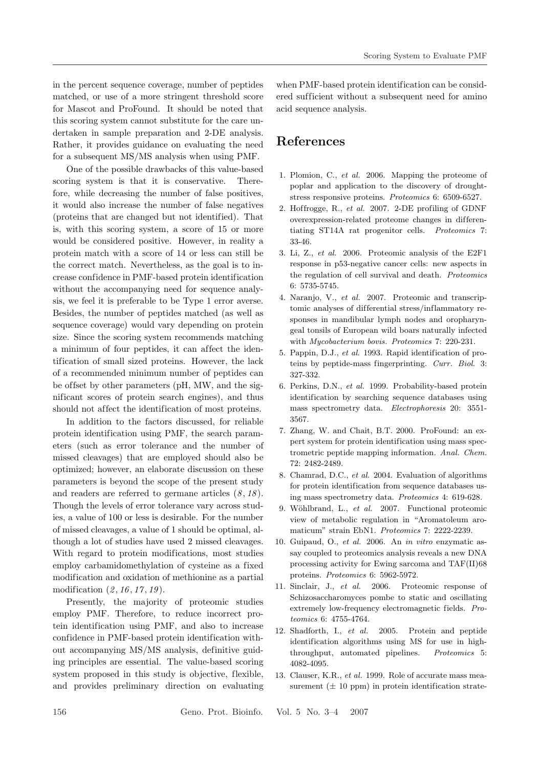in the percent sequence coverage, number of peptides matched, or use of a more stringent threshold score for Mascot and ProFound. It should be noted that this scoring system cannot substitute for the care undertaken in sample preparation and 2-DE analysis. Rather, it provides guidance on evaluating the need for a subsequent MS/MS analysis when using PMF.

One of the possible drawbacks of this value-based scoring system is that it is conservative. Therefore, while decreasing the number of false positives, it would also increase the number of false negatives (proteins that are changed but not identified). That is, with this scoring system, a score of 15 or more would be considered positive. However, in reality a protein match with a score of 14 or less can still be the correct match. Nevertheless, as the goal is to increase confidence in PMF-based protein identification without the accompanying need for sequence analysis, we feel it is preferable to be Type 1 error averse. Besides, the number of peptides matched (as well as sequence coverage) would vary depending on protein size. Since the scoring system recommends matching a minimum of four peptides, it can affect the identification of small sized proteins. However, the lack of a recommended minimum number of peptides can be of fset by other parameters (pH, MW, and the significant scores of protein search engines), and thus should not affect the identification of most proteins.

In addition to the factors discussed, for reliable protein identification using PMF, the search parameters (such as error tolerance and the number of missed cleavages) that are employed should also be optimized; however, an elaborate discussion on these parameters is beyond the scope of the present study and readers are referred to germane articles (*8* , *18* ). Though the levels of error tolerance vary across studies, a value of 100 or less is desirable. For the number of missed cleavages, a value of 1 should be optimal, although a lot of studies have used 2 missed cleavages. With regard to protein modifications, most studies employ carbamidomethylation of cysteine as a fixed modification and oxidation of methionine as a partial modification (*2* , *16* , *17* , *19* ).

Presently, the majority of proteomic studies employ PMF. Therefore, to reduce incorrect protein identification using PMF, and also to increase confidence in PMF-based protein identification without accompanying MS/MS analysis, definitive guiding principles are essential. The value-based scoring system proposed in this study is objective, flexible, and provides preliminary direction on evaluating

when PMF-based protein identification can be considered sufficient without a subsequent need for amino acid sequence analysis.

# **References**

- 1. Plomion, C., *et al.* 2006. Mapping the proteome of poplar and application to the discovery of droughtstress responsive proteins. *Proteomics* 6: 6509-6527.
- 2. Hof frogge, R., *et al.* 2007. 2-DE profiling of GDNF overexpression-related proteome changes in differentiating ST14A rat progenitor cells. *Proteomics* 7: 33-46.
- 3. Li, Z., *et al.* 2006. Proteomic analysis of the E2F1 response in p53-negative cancer cells: new aspects in the regulation of cell survival and death. *Proteomics* 6: 5735-5745.
- 4. Naranjo, V., *et al.* 2007. Proteomic and transcriptomic analyses of differential stress/inflammatory responses in mandibular lymph nodes and oropharyngeal tonsils of European wild boars naturally infected with *Mycobacterium bovis. Proteomics* 7: 220-231.
- 5. Pappin, D.J., *et al*. 1993. Rapid identification of proteins by peptide-mass fingerprinting. *Curr. Biol*. 3: 327-332.
- 6. Perkins, D.N., *et al.* 1999. Probability-based protein identification by searching sequence databases using mass spectrometry data. *Electrophoresis* 20: 3551- 3567.
- 7. Zhang, W. and Chait, B.T. 2000. ProFound: an expert system for protein identification using mass spectrometric peptide mapping information. *Anal. Chem.* 72: 2482-2489.
- 8. Chamrad, D.C., *et al.* 2004. Evaluation of algorithms for protein identification from sequence databases using mass spectrometry data. *Proteomics* 4: 619-628.
- 9. Wöhlbrand, L., *et al.* 2007. Functional proteomic view of metabolic regulation in "Aromatoleum aromaticum" strain EbN1. *Proteomics* 7: 2222-2239.
- 10. Guipaud, O., *et al.* 2006. An *in vitro* enzymatic assay coupled to proteomics analysis reveals a new DNA processing activity for Ewing sarcoma and TAF(II)68 proteins. *Proteomics* 6: 5962-5972.
- 11. Sinclair, J., *et al.* 2006. Proteomic response of Schizosaccharomyces pombe to static and oscillating extremely low-frequency electromagnetic fields. *Proteomics* 6: 4755-4764.
- 12. Shadforth, I., *et al.* 2005. Protein and peptide identification algorithms using MS for use in highthroughput, automated pipelines. *Proteomics* 5: 4082-4095.
- 13. Clauser, K.R., *et al.* 1999. Role of accurate mass measurement  $(\pm 10 \text{ ppm})$  in protein identification strate-